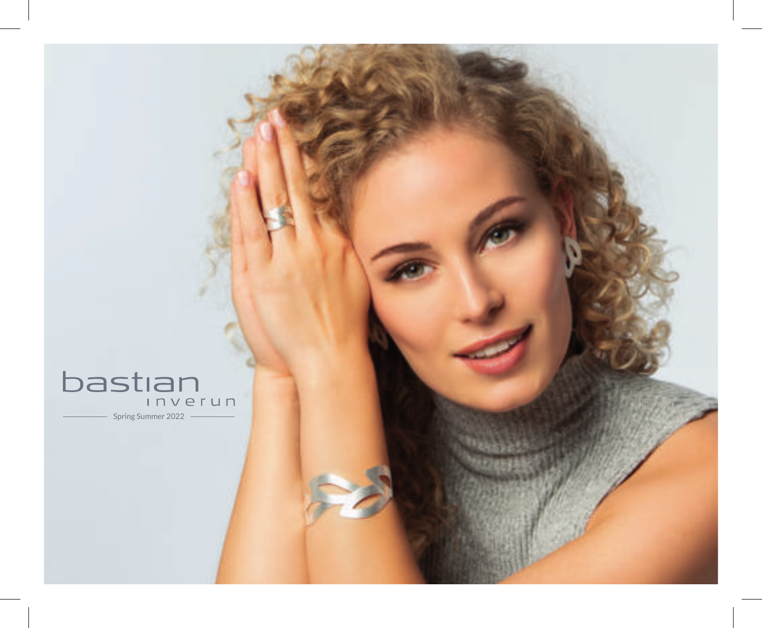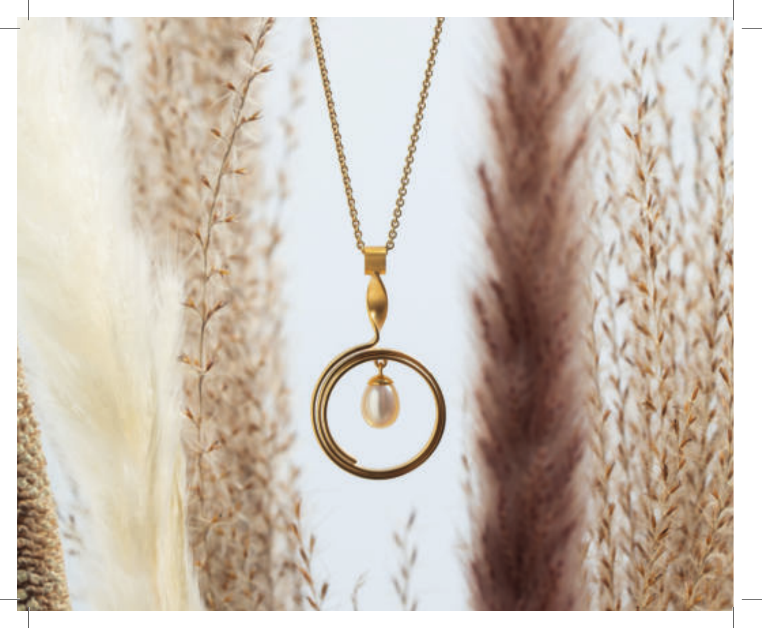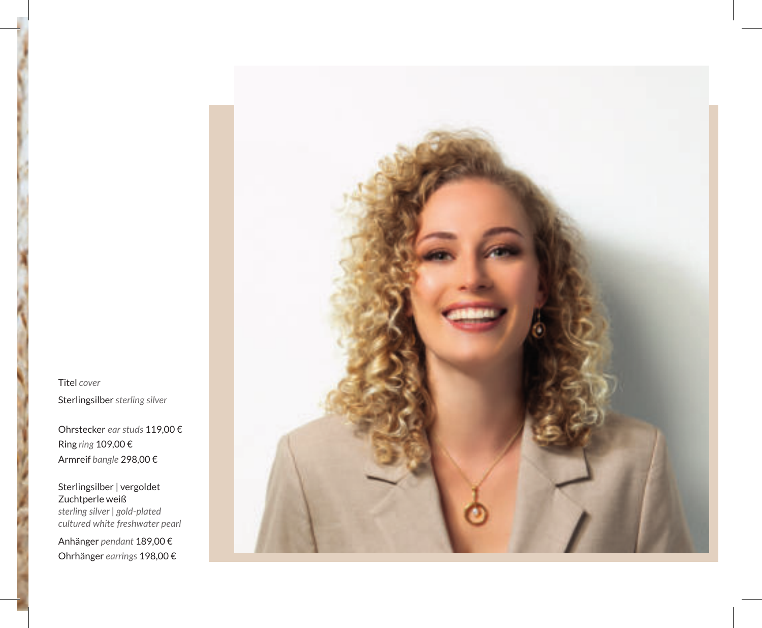

Ohrstecker *ear studs* 119,00 € Ring *ring* 109,00 € Armreif *bangle* 298,00 €

Sterlingsilber | vergoldet Zuchtperle weiß *sterling silver | gold-plated cultured white freshwater pearl*

Anhänger *pendant* 189,00 € Ohrhänger *earrings* 198,00 €

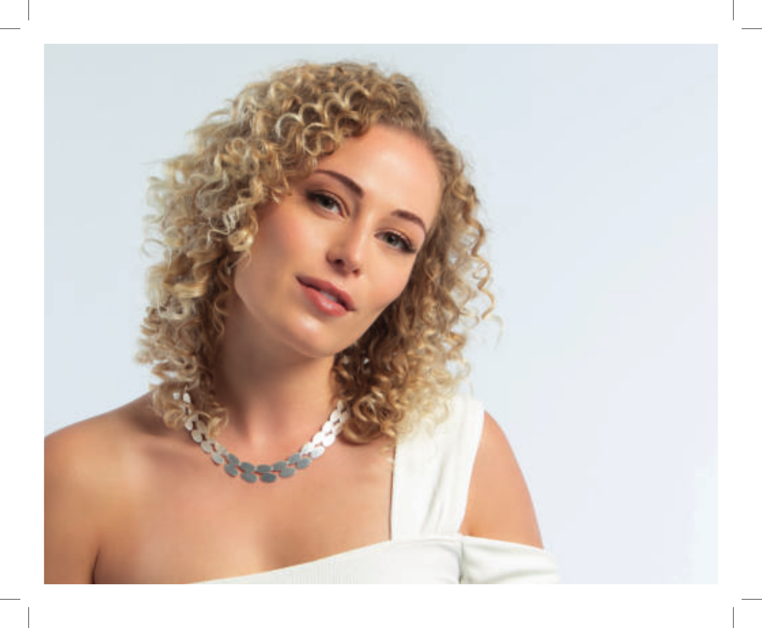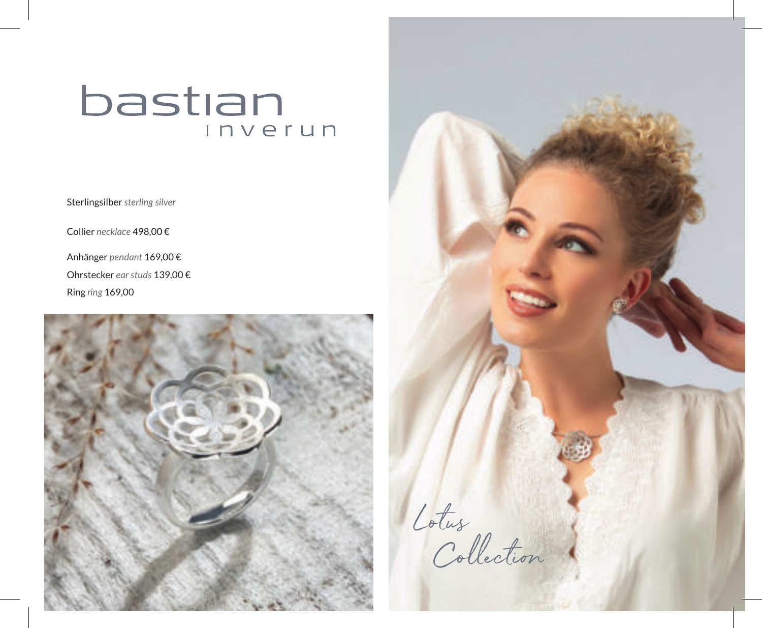Sterlingsilber *sterling silver*

Collier *necklace* 498,00 €

Anhänger *pendant* 169,00 € Ohrstecker *ear studs* 139,00 € Ring *ring* 169,00



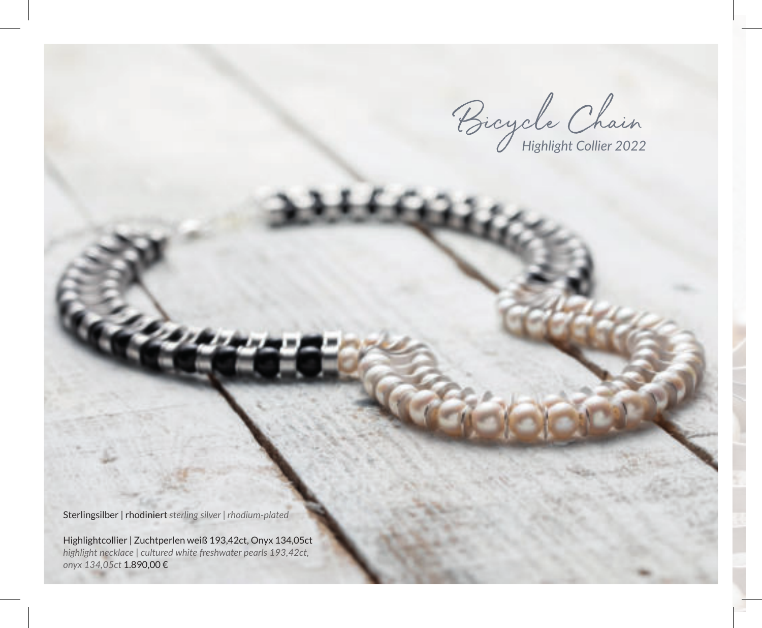Bicycle Chain *Highlight Collier 2022*

Sterlingsilber | rhodiniert *sterling silver | rhodium-plated*

Highlightcollier | Zuchtperlen weiß 193,42ct, Onyx 134,05ct *highlight necklace | cultured white freshwater pearls 193,42ct, onyx 134,05ct* 1.890,00 €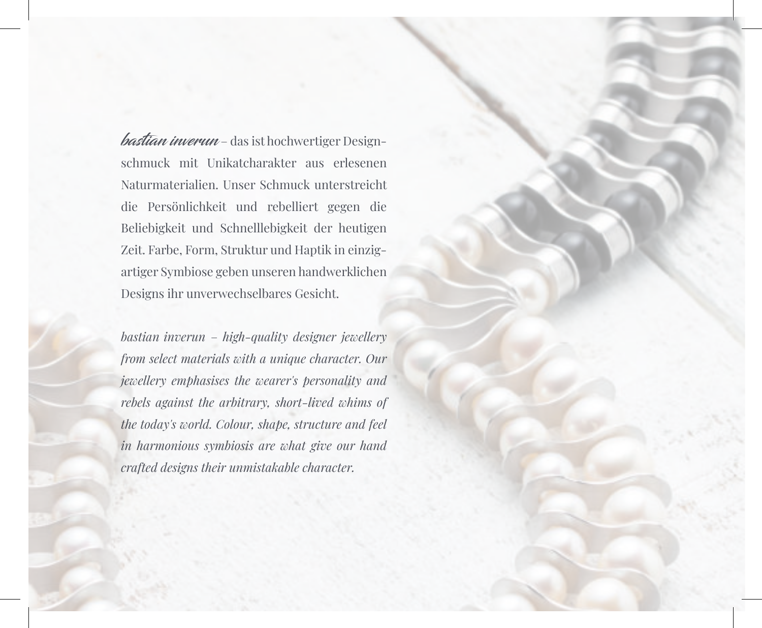bastian inverun – das ist hochwertiger Designschmuck mit Unikatcharakter aus erlesenen Naturmaterialien. Unser Schmuck unterstreicht die Persönlichkeit und rebelliert gegen die Beliebigkeit und Schnelllebigkeit der heutigen Zeit. Farbe, Form, Struktur und Haptik in einzigartiger Symbiose geben unseren handwerklichen Designs ihr unverwechselbares Gesicht.

*bastian inverun* – *high-quality designer jewellery from select materials with a unique character. Our jewellery emphasises the wearer's personality and rebels against the arbitrary, short-lived whims of the today's world. Colour, shape, structure and feel in harmonious symbiosis are what give our hand crafted designs their unmistakable character.*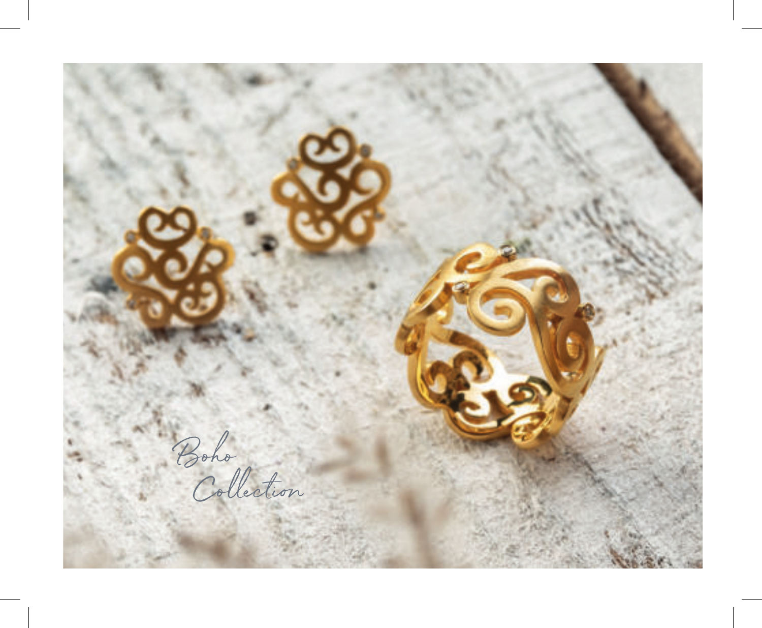Boho Collection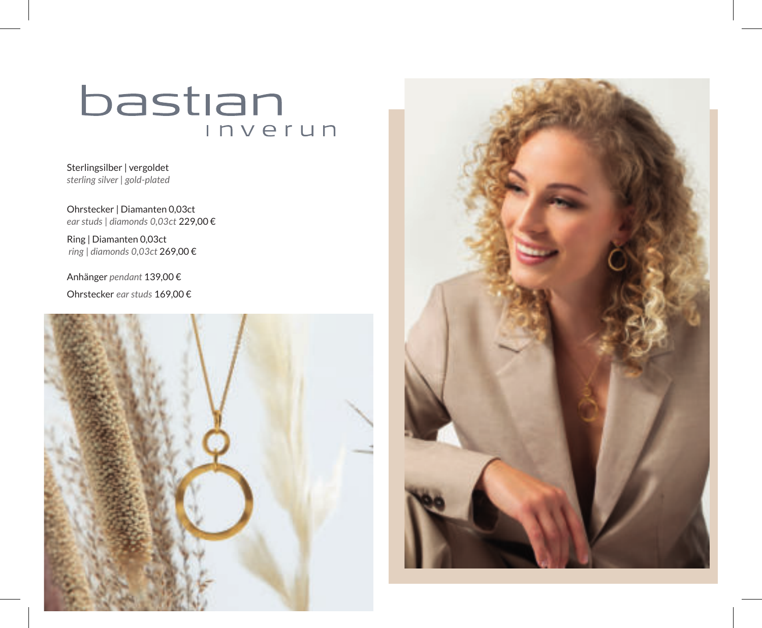Sterlingsilber | vergoldet *sterling silver | gold-plated*

Ohrstecker | Diamanten 0,03ct *ear studs | diamonds 0,03ct* 229,00 €

Ring | Diamanten 0,03ct *ring | diamonds 0,03ct* 269,00 €

Anhänger *pendant* 139,00 € Ohrstecker *ear studs* 169,00 €



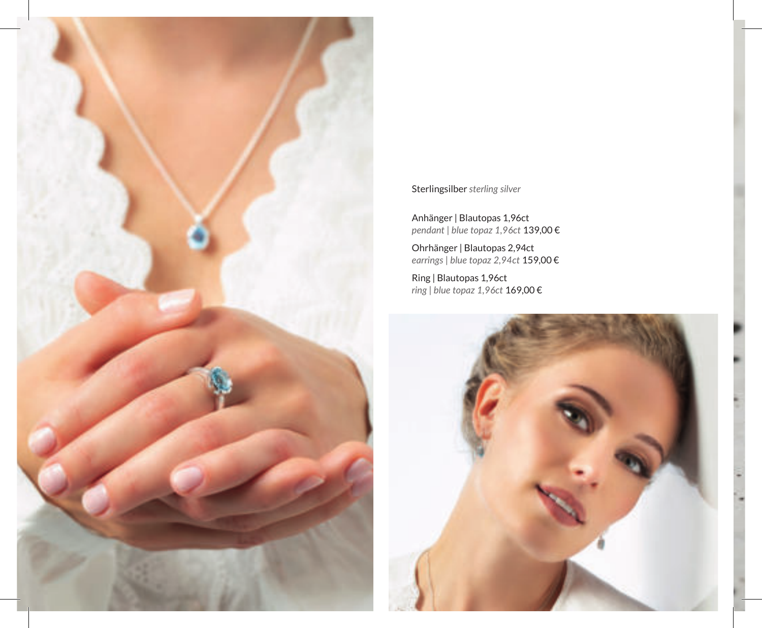

Sterlingsilber *sterling silver*

Anhänger | Blautopas 1,96ct *pendant | blue topaz 1,96ct* 139,00 €

Ohrhänger | Blautopas 2,94ct *earrings | blue topaz 2,94ct* 159,00 €

Ring | Blautopas 1,96ct *ring | blue topaz 1,96ct* 169,00 €

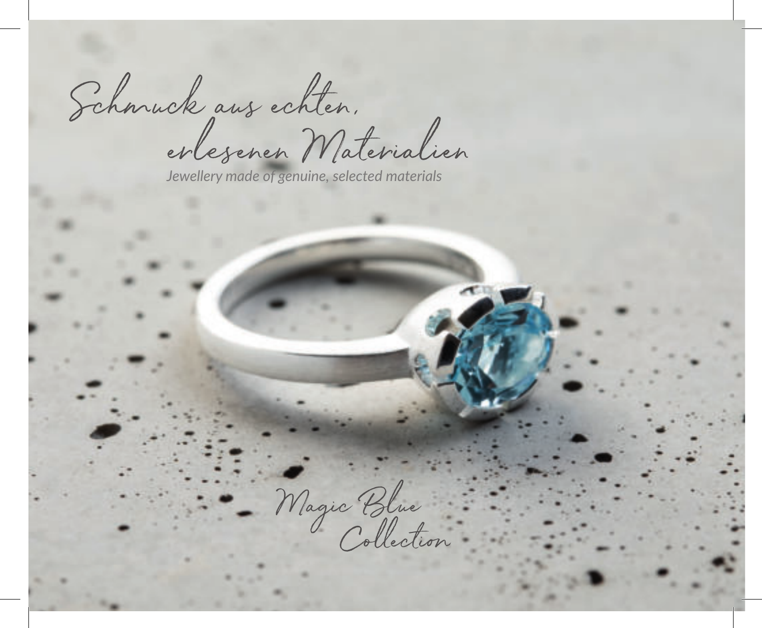Schmuck aus echten, erlesenen Materialien

 *Jewellery made of genuine, selected materials*

Magic Blue Collection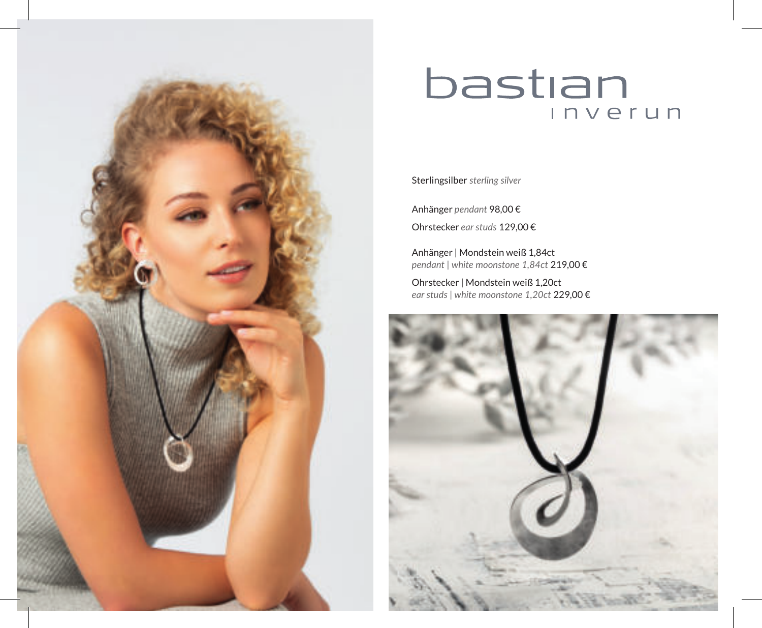

Sterlingsilber *sterling silver*

Anhänger *pendant* 98,00 € Ohrstecker *ear studs* 129,00 €

Anhänger | Mondstein weiß 1,84ct *pendant | white moonstone 1,84ct* 219,00 €

Ohrstecker | Mondstein weiß 1,20ct *ear studs | white moonstone 1,20ct* 229,00 €

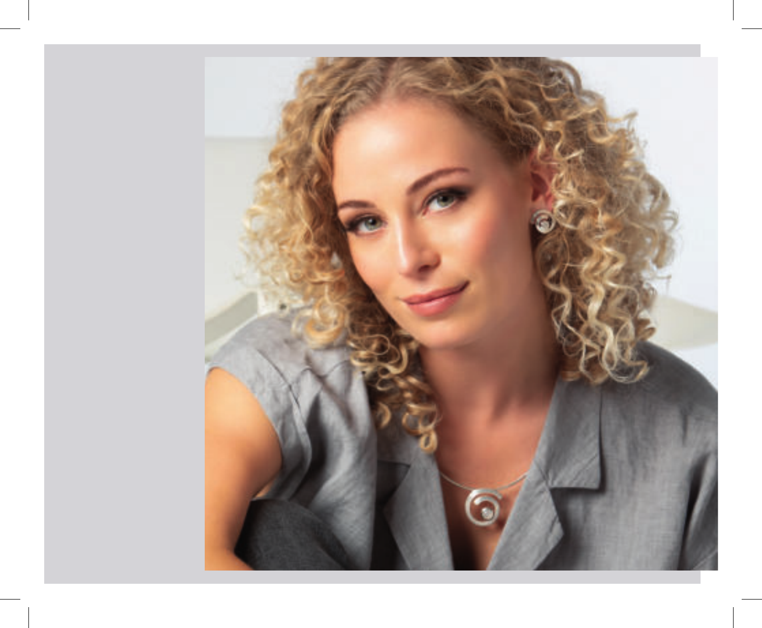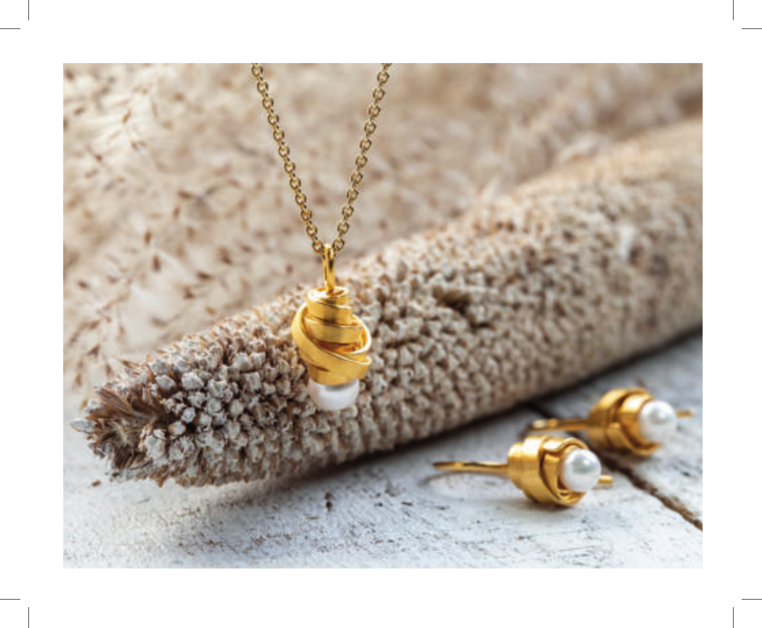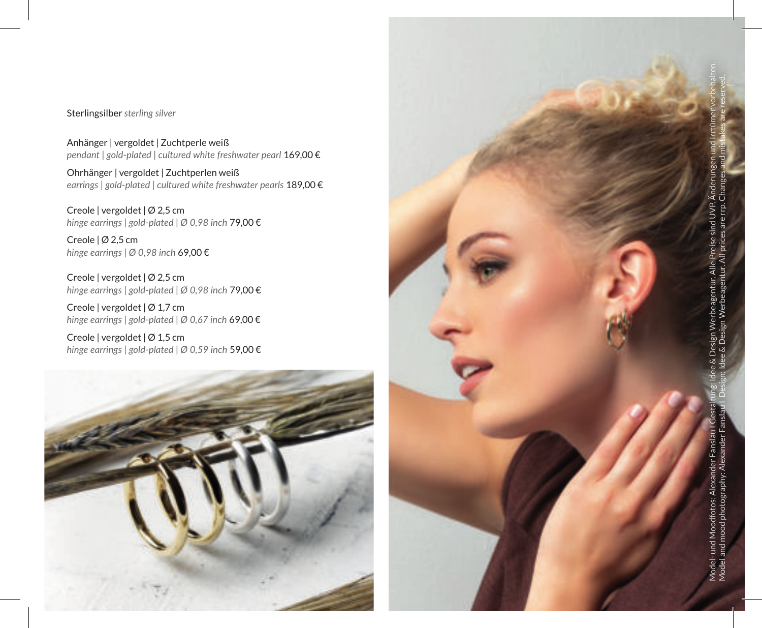Sterlingsilber *sterling silver*

Anhänger | vergoldet | Zuchtperle weiß *pendant | gold-plated | cultured white freshwater pearl 169,00 €* 

Ohrhänger | vergoldet | Zuchtperlen weiß earrings | gold-plated | cultured white freshwater pearls 189,00 €

Creole | vergoldet | Ø 2,5 cm *hinge earrings | gold-plated | Ø 0,98 inch* 79,00 €

Creole | Ø 2,5 cm *hinge earrings | Ø 0,98 inch* 69,00 €

Creole | vergoldet | Ø 2,5 cm *hinge earrings | gold-plated | Ø 0,98 inch* 79,00 €

Creole | vergoldet | Ø 1,7 cm *hinge earrings | gold-plated | Ø 0,67 inch* 69,00 €

Creole | vergoldet | Ø 1,5 cm *hinge earrings | gold-plated | Ø 0,59 inch* 59,00 €